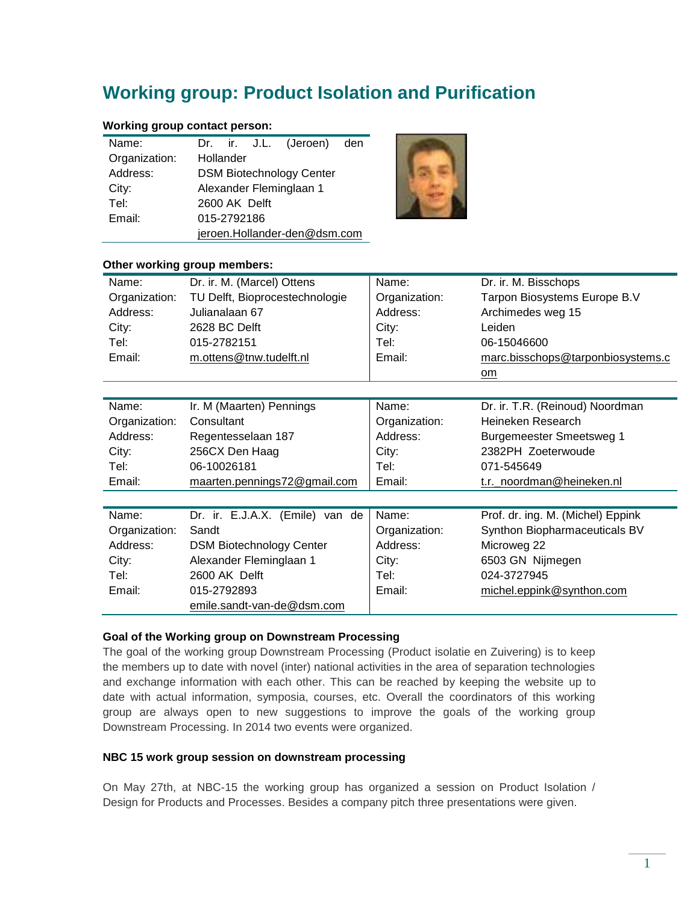# **Working group: Product Isolation and Purification**

## **Working group contact person:**

| Name:         |                              |                                 |  | Dr. ir. J.L. (Jeroen) den |  |  |
|---------------|------------------------------|---------------------------------|--|---------------------------|--|--|
| Organization: | Hollander                    |                                 |  |                           |  |  |
| Address:      |                              | <b>DSM Biotechnology Center</b> |  |                           |  |  |
| City:         |                              | Alexander Fleminglaan 1         |  |                           |  |  |
| Tel:          | 2600 AK Delft                |                                 |  |                           |  |  |
| Email:        | 015-2792186                  |                                 |  |                           |  |  |
|               | jeroen.Hollander-den@dsm.com |                                 |  |                           |  |  |



#### **Other working group members:**

| Name:         | Dr. ir. M. (Marcel) Ottens      | Name:         | Dr. ir. M. Bisschops              |
|---------------|---------------------------------|---------------|-----------------------------------|
| Organization: | TU Delft, Bioprocestechnologie  | Organization: | Tarpon Biosystems Europe B.V      |
| Address:      | Julianalaan 67                  | Address:      | Archimedes weg 15                 |
| City:         | 2628 BC Delft                   | City:         | Leiden                            |
| Tel:          | 015-2782151                     | Tel:          | 06-15046600                       |
| Email:        | m.ottens@tnw.tudelft.nl         | Email:        | marc.bisschops@tarponbiosystems.c |
|               |                                 |               | om                                |
|               |                                 |               |                                   |
| Name:         | Ir. M (Maarten) Pennings        | Name:         | Dr. ir. T.R. (Reinoud) Noordman   |
| Organization: | Consultant                      | Organization: | Heineken Research                 |
| Address:      | Regentesselaan 187              | Address:      | <b>Burgemeester Smeetsweg 1</b>   |
| City:         | 256CX Den Haag                  | City:         | 2382PH Zoeterwoude                |
| Tel:          | 06-10026181                     | Tel:          | 071-545649                        |
| Email:        | maarten.pennings72@gmail.com    | Email:        | t.r._noordman@heineken.nl         |
|               |                                 |               |                                   |
| Name:         | Dr. ir. E.J.A.X. (Emile) van de | Name:         | Prof. dr. ing. M. (Michel) Eppink |
| Organization: | Sandt                           | Organization: | Synthon Biopharmaceuticals BV     |
| Address:      | <b>DSM Biotechnology Center</b> | Address:      | Microweg 22                       |
| City:         | Alexander Fleminglaan 1         | City:         | 6503 GN Nijmegen                  |
| Tel:          | 2600 AK Delft                   | Tel:          | 024-3727945                       |
| Email:        | 015-2792893                     | Email:        | michel.eppink@synthon.com         |
|               | emile.sandt-van-de@dsm.com      |               |                                   |

#### **Goal of the Working group on Downstream Processing**

The goal of the working group Downstream Processing (Product isolatie en Zuivering) is to keep the members up to date with novel (inter) national activities in the area of separation technologies and exchange information with each other. This can be reached by keeping the website up to date with actual information, symposia, courses, etc. Overall the coordinators of this working group are always open to new suggestions to improve the goals of the working group Downstream Processing. In 2014 two events were organized.

#### **NBC 15 work group session on downstream processing**

On May 27th, at NBC-15 the working group has organized a session on Product Isolation / Design for Products and Processes. Besides a company pitch three presentations were given.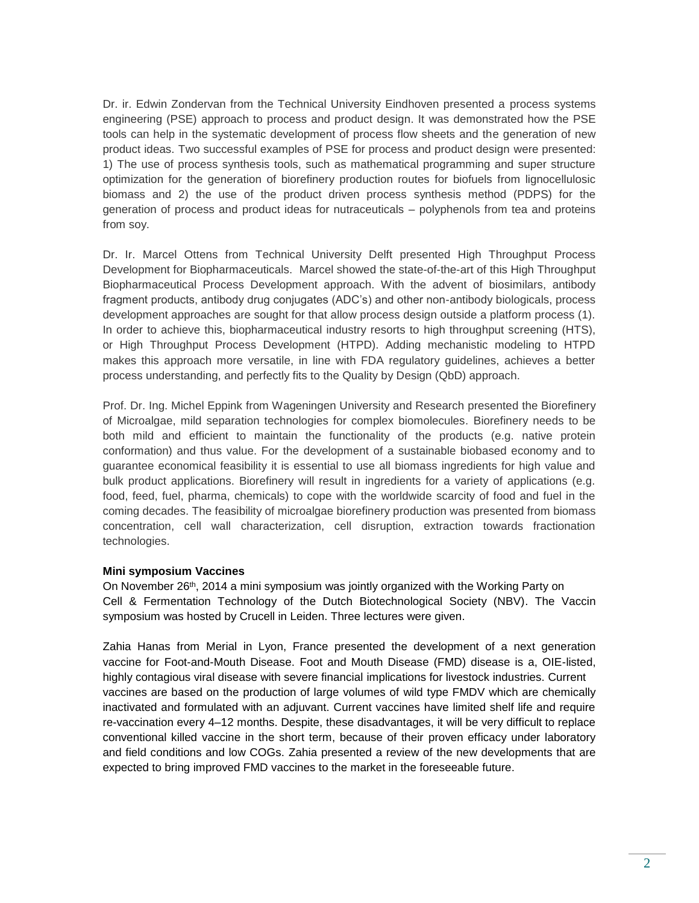Dr. ir. Edwin Zondervan from the Technical University Eindhoven presented a process systems engineering (PSE) approach to process and product design. It was demonstrated how the PSE tools can help in the systematic development of process flow sheets and the generation of new product ideas. Two successful examples of PSE for process and product design were presented: 1) The use of process synthesis tools, such as mathematical programming and super structure optimization for the generation of biorefinery production routes for biofuels from lignocellulosic biomass and 2) the use of the product driven process synthesis method (PDPS) for the generation of process and product ideas for nutraceuticals – polyphenols from tea and proteins from soy.

Dr. Ir. Marcel Ottens from Technical University Delft presented High Throughput Process Development for Biopharmaceuticals. Marcel showed the state-of-the-art of this High Throughput Biopharmaceutical Process Development approach. With the advent of biosimilars, antibody fragment products, antibody drug conjugates (ADC's) and other non-antibody biologicals, process development approaches are sought for that allow process design outside a platform process (1). In order to achieve this, biopharmaceutical industry resorts to high throughput screening (HTS), or High Throughput Process Development (HTPD). Adding mechanistic modeling to HTPD makes this approach more versatile, in line with FDA regulatory guidelines, achieves a better process understanding, and perfectly fits to the Quality by Design (QbD) approach.

Prof. Dr. Ing. Michel Eppink from Wageningen University and Research presented the Biorefinery of Microalgae, mild separation technologies for complex biomolecules. Biorefinery needs to be both mild and efficient to maintain the functionality of the products (e.g. native protein conformation) and thus value. For the development of a sustainable biobased economy and to guarantee economical feasibility it is essential to use all biomass ingredients for high value and bulk product applications. Biorefinery will result in ingredients for a variety of applications (e.g. food, feed, fuel, pharma, chemicals) to cope with the worldwide scarcity of food and fuel in the coming decades. The feasibility of microalgae biorefinery production was presented from biomass concentration, cell wall characterization, cell disruption, extraction towards fractionation technologies.

## **Mini symposium Vaccines**

On November 26<sup>th</sup>, 2014 a mini symposium was jointly organized with the Working Party on Cell & Fermentation Technology of the Dutch Biotechnological Society (NBV). The Vaccin symposium was hosted by Crucell in Leiden. Three lectures were given.

Zahia Hanas from Merial in Lyon, France presented the development of a next generation vaccine for Foot-and-Mouth Disease. Foot and Mouth Disease (FMD) disease is a, OIE-listed, highly contagious viral disease with severe financial implications for livestock industries. Current vaccines are based on the production of large volumes of wild type FMDV which are chemically inactivated and formulated with an adjuvant. Current vaccines have limited shelf life and require re-vaccination every 4–12 months. Despite, these disadvantages, it will be very difficult to replace conventional killed vaccine in the short term, because of their proven efficacy under laboratory and field conditions and low COGs. Zahia presented a review of the new developments that are expected to bring improved FMD vaccines to the market in the foreseeable future.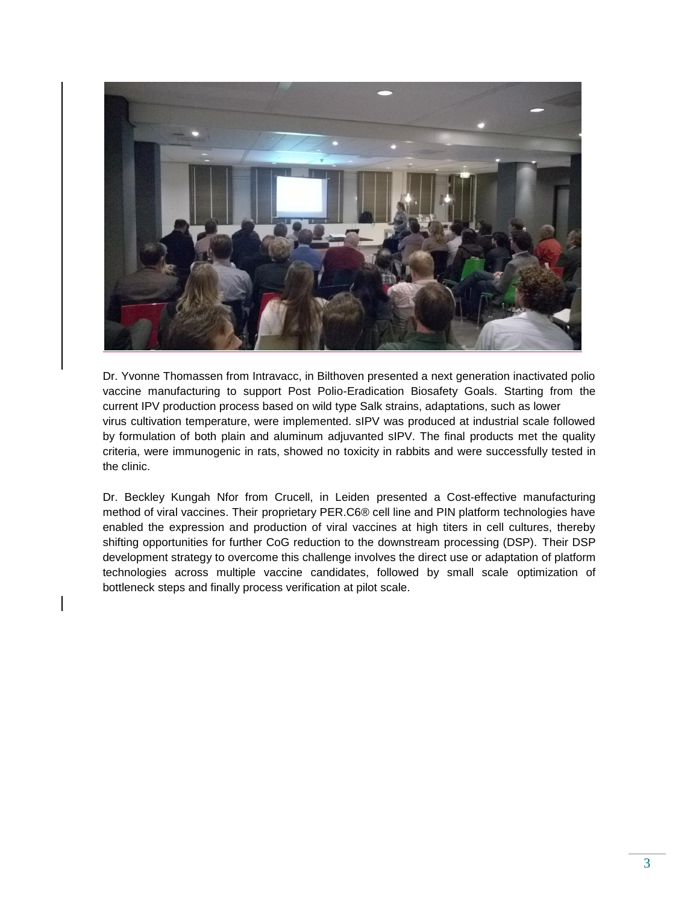

Dr. Yvonne Thomassen from Intravacc, in Bilthoven presented a next generation inactivated polio vaccine manufacturing to support Post Polio-Eradication Biosafety Goals. Starting from the current IPV production process based on wild type Salk strains, adaptations, such as lower virus cultivation temperature, were implemented. sIPV was produced at industrial scale followed by formulation of both plain and aluminum adjuvanted sIPV. The final products met the quality criteria, were immunogenic in rats, showed no toxicity in rabbits and were successfully tested in the clinic.

Dr. Beckley Kungah Nfor from Crucell, in Leiden presented a Cost-effective manufacturing method of viral vaccines. Their proprietary PER.C6® cell line and PIN platform technologies have enabled the expression and production of viral vaccines at high titers in cell cultures, thereby shifting opportunities for further CoG reduction to the downstream processing (DSP). Their DSP development strategy to overcome this challenge involves the direct use or adaptation of platform technologies across multiple vaccine candidates, followed by small scale optimization of bottleneck steps and finally process verification at pilot scale.